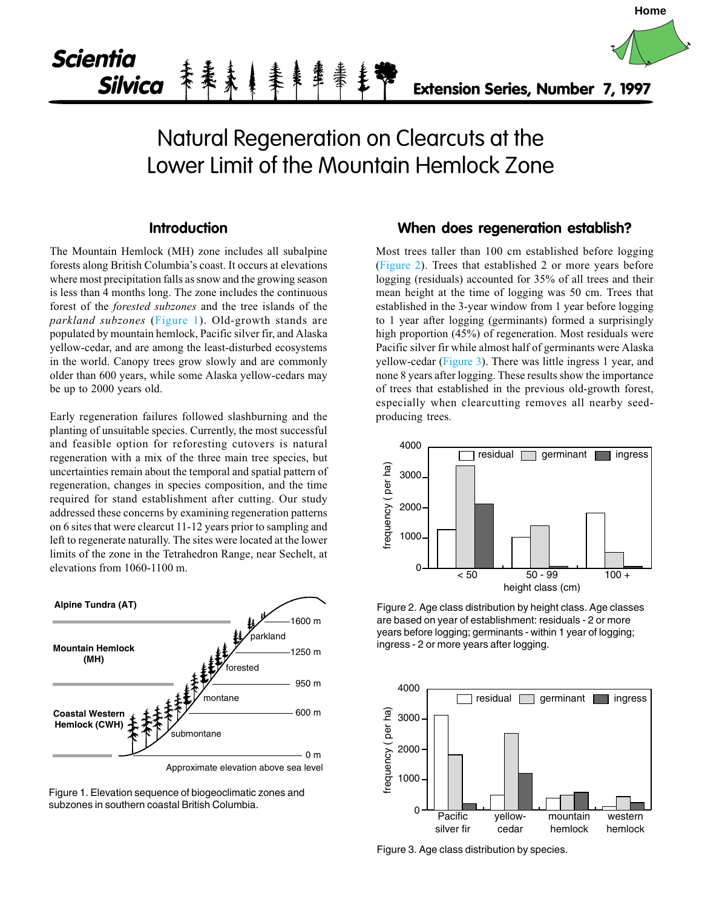

# **Introduction**

The Mountain Hemlock (MH) zone includes all subalpine forests along British Columbia's coast. It occurs at elevations where most precipitation falls as snow and the growing season is less than 4 months long. The zone includes the continuous forest of the forested subzones and the tree islands of the parkland subzones (Figure 1). Old-growth stands are populated by mountain hemlock, Pacific silver fir, and Alaska yellow-cedar, and are among the least-disturbed ecosystems in the world. Canopy trees grow slowly and are commonly older than 600 years, while some Alaska yellow-cedars may be up to 2000 years old.

Early regeneration failures followed slashburning and the planting of unsuitable species. Currently, the most successful and feasible option for reforesting cutovers is natural regeneration with a mix of the three main tree species, but uncertainties remain about the temporal and spatial pattern of regeneration, changes in species composition, and the time required for stand establishment after cutting. Our study addressed these concerns by examining regeneration patterns on 6 sites that were clearcut 11-12 years prior to sampling and left to regenerate naturally. The sites were located at the lower limits of the zone in the Tetrahedron Range, near Sechelt, at elevations from 1060-1100 m.



Figure 1. Elevation sequence of biogeoclimatic zones and subzones in southern coastal British Columbia.

### **When does regeneration establish?**

**Home**

Most trees taller than 100 cm established before logging (Figure 2). Trees that established 2 or more years before logging (residuals) accounted for 35% of all trees and their mean height at the time of logging was 50 cm. Trees that established in the 3-year window from 1 year before logging to 1 year after logging (germinants) formed a surprisingly high proportion (45%) of regeneration. Most residuals were Pacific silver fir while almost half of germinants were Alaska yellow-cedar (Figure 3). There was little ingress 1 year, and none 8 years after logging. These results show the importance of trees that established in the previous old-growth forest, especially when clearcutting removes all nearby seedproducing trees.



Figure 2. Age class distribution by height class. Age classes are based on year of establishment: residuals - 2 or more years before logging; germinants - within 1 year of logging; ingress - 2 or more years after logging.



Figure 3. Age class distribution by species.